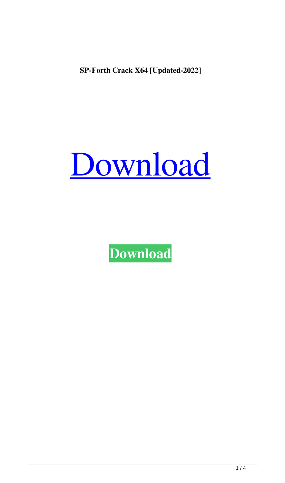**SP-Forth Crack X64 [Updated-2022]**



**[Download](http://evacdir.com/exhorbitant.diamondbacks?ZG93bmxvYWR8NTFvTm5KNFpYeDhNVFkxTkRRek5qWTFPSHg4TWpVNU1IeDhLRTBwSUZkdmNtUndjbVZ6Y3lCYldFMU1VbEJESUZZeUlGQkVSbDA=fermenter/holdback/U1AtRm9ydGgU1A&tobin=pandey)**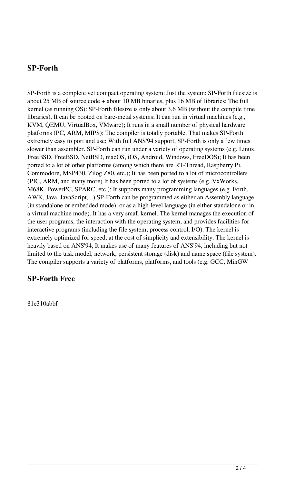## **SP-Forth**

SP-Forth is a complete yet compact operating system: Just the system: SP-Forth filesize is about 25 MB of source code + about 10 MB binaries, plus 16 MB of libraries; The full kernel (as running OS): SP-Forth filesize is only about 3.6 MB (without the compile time libraries), It can be booted on bare-metal systems; It can run in virtual machines (e.g., KVM, QEMU, VirtualBox, VMware); It runs in a small number of physical hardware platforms (PC, ARM, MIPS); The compiler is totally portable. That makes SP-Forth extremely easy to port and use; With full ANS'94 support, SP-Forth is only a few times slower than assembler. SP-Forth can run under a variety of operating systems (e.g. Linux, FreeBSD, FreeBSD, NetBSD, macOS, iOS, Android, Windows, FreeDOS); It has been ported to a lot of other platforms (among which there are RT-Thread, Raspberry Pi, Commodore, MSP430, Zilog Z80, etc.); It has been ported to a lot of microcontrollers (PIC, ARM, and many more) It has been ported to a lot of systems (e.g. VxWorks, M68K, PowerPC, SPARC, etc.); It supports many programming languages (e.g. Forth, AWK, Java, JavaScript,...) SP-Forth can be programmed as either an Assembly language (in standalone or embedded mode), or as a high-level language (in either standalone or in a virtual machine mode). It has a very small kernel. The kernel manages the execution of the user programs, the interaction with the operating system, and provides facilities for interactive programs (including the file system, process control, I/O). The kernel is extremely optimized for speed, at the cost of simplicity and extensibility. The kernel is heavily based on ANS'94; It makes use of many features of ANS'94, including but not limited to the task model, network, persistent storage (disk) and name space (file system). The compiler supports a variety of platforms, platforms, and tools (e.g. GCC, MinGW

## **SP-Forth Free**

81e310abbf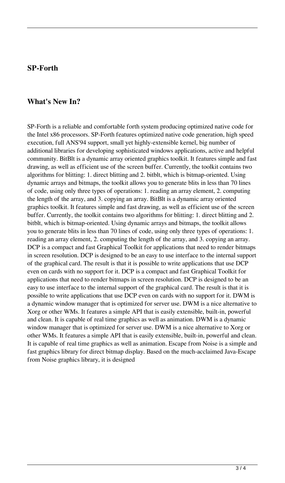### **SP-Forth**

#### **What's New In?**

SP-Forth is a reliable and comfortable forth system producing optimized native code for the Intel x86 processors. SP-Forth features optimized native code generation, high speed execution, full ANS'94 support, small yet highly-extensible kernel, big number of additional libraries for developing sophisticated windows applications, active and helpful community. BitBlt is a dynamic array oriented graphics toolkit. It features simple and fast drawing, as well as efficient use of the screen buffer. Currently, the toolkit contains two algorithms for blitting: 1. direct blitting and 2. bitblt, which is bitmap-oriented. Using dynamic arrays and bitmaps, the toolkit allows you to generate blits in less than 70 lines of code, using only three types of operations: 1. reading an array element, 2. computing the length of the array, and 3. copying an array. BitBlt is a dynamic array oriented graphics toolkit. It features simple and fast drawing, as well as efficient use of the screen buffer. Currently, the toolkit contains two algorithms for blitting: 1. direct blitting and 2. bitblt, which is bitmap-oriented. Using dynamic arrays and bitmaps, the toolkit allows you to generate blits in less than 70 lines of code, using only three types of operations: 1. reading an array element, 2. computing the length of the array, and 3. copying an array. DCP is a compact and fast Graphical Toolkit for applications that need to render bitmaps in screen resolution. DCP is designed to be an easy to use interface to the internal support of the graphical card. The result is that it is possible to write applications that use DCP even on cards with no support for it. DCP is a compact and fast Graphical Toolkit for applications that need to render bitmaps in screen resolution. DCP is designed to be an easy to use interface to the internal support of the graphical card. The result is that it is possible to write applications that use DCP even on cards with no support for it. DWM is a dynamic window manager that is optimized for server use. DWM is a nice alternative to Xorg or other WMs. It features a simple API that is easily extensible, built-in, powerful and clean. It is capable of real time graphics as well as animation. DWM is a dynamic window manager that is optimized for server use. DWM is a nice alternative to Xorg or other WMs. It features a simple API that is easily extensible, built-in, powerful and clean. It is capable of real time graphics as well as animation. Escape from Noise is a simple and fast graphics library for direct bitmap display. Based on the much-acclaimed Java-Escape from Noise graphics library, it is designed